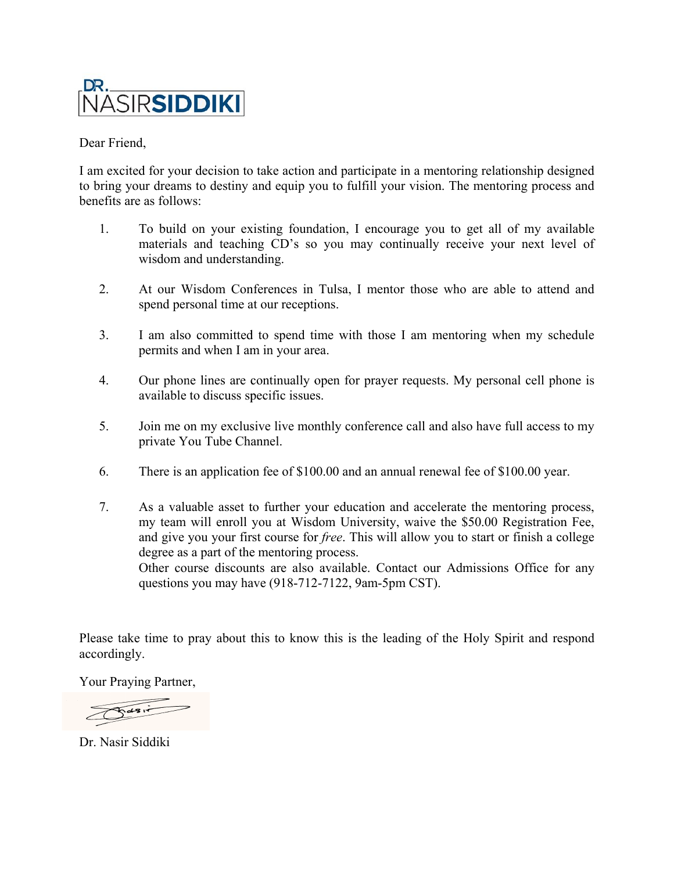

Dear Friend,

I am excited for your decision to take action and participate in a mentoring relationship designed to bring your dreams to destiny and equip you to fulfill your vision. The mentoring process and benefits are as follows:

- 1. To build on your existing foundation, I encourage you to get all of my available materials and teaching CD's so you may continually receive your next level of wisdom and understanding. materials and teaching CD's so you may continually receive your next level of<br>wisdom and understanding.<br>At our Wisdom Conferences in Tulsa, I mentor those who are able to attend and decision to take action and participate in a mentori<br>to destiny and equip you to fulfill your vision. Th<br>s:<br>on your existing foundation, I encourage you to<br>and teaching CD's so you may continually rece<br>nd understanding.<br>is
- 2. spend personal time at our receptions.
- 3. I am also committed to spend time with those I am mentoring when my schedule permits and when I am in your area. t level of<br>ttend and<br>tend and<br>phone is<br>level phone is<br>cess to my<br>year.<br>g process,
- 4. Our phone lines are continually open for prayer requests. My personal cell phone is available to discuss specific issues. n your area.<br>
ntinually open for prayer r<br>
ific issues.<br>
e live monthly conference
- 5. Join me on my exclusive live monthly conference call and also have full access to my private You Tube Channel.
- 6. There is an application fee of \$100.00 and an annual renewal fee of \$100.00 year.
- 7. As a valuable asset to further your education and accelerate the mentoring process my team will enroll you at Wisdom University, waive the \$50.00 Registration Fee, and give you your first course for *free*. This will allow you to start or finish a college degree as a part of the mentoring process. Other course discounts are also available. Contact our Admissions Office for any questions you may have (918-712-7122, 9am-5pm CST). aaterials and teaching CD's so you may continually receive your nex<br>visdom and understanding.<br>At our Wisdom Conferences in Tulsa, I mentor those who are able to a<br>pend personal time at our receptions.<br>Am also committed to continually receive your next level of<br>ntor those who are able to attend and<br>sse I am mentoring when my schedule<br>yer requests. My personal cell phone is<br>ence call and also have full access to my<br>annual renewal fee of \$100.

Please take time to pray about this to know this is the leading of the Holy Spirit and respond accordingly.

Your Praying Partner,

 $\sqrt{d^2}$ 

Dr. Nasir Siddiki